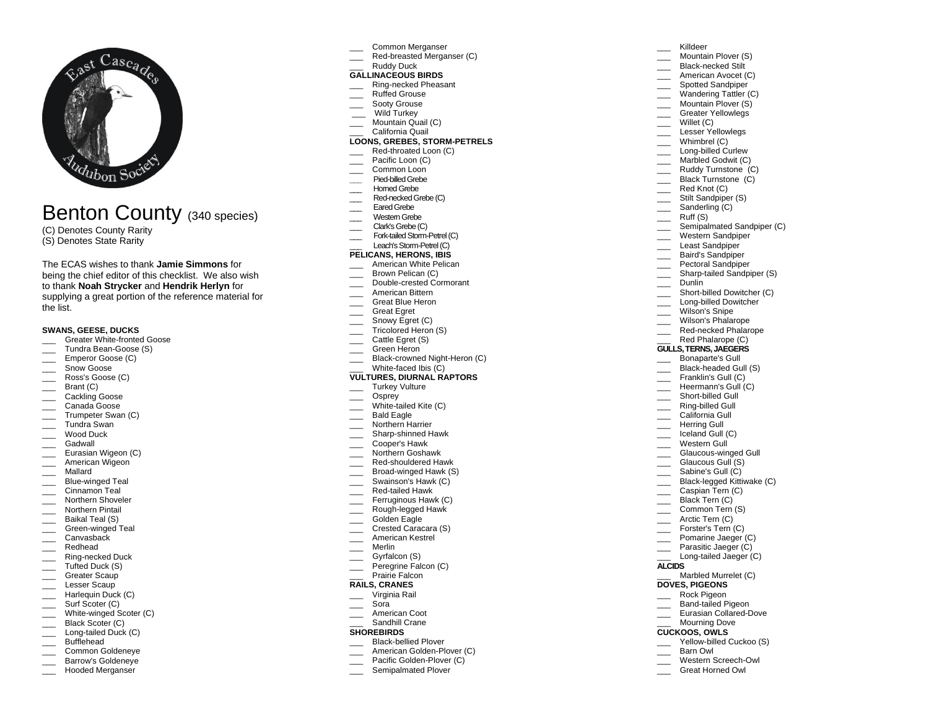

# Benton County (340 species)

(C) Denotes County Rarity (S) Denotes State Rarity

The ECAS wishes to thank **Jamie Simmons** for being the chief editor of this checklist. We also wish to thank **Noah Strycke r** and **Hendrik Herlyn** for supplying a great portion of the reference material for the list.

## **SWANS, GEESE, DUCKS**

- \_\_\_ Greater White -fronted Goose
- \_\_\_ Tundra Bean -Goose ( S )
- Emperor Goose (C)
- \_\_\_ Snow Goose
- \_\_\_ Ross's Goose (C)
- \_\_\_ Bran t (C)
- Cackling Goose
- Canada Goose
- Trumpeter Swan (C) \_\_\_ Tundra Swan
- \_\_\_ Wood Duck
- \_\_\_ Gadwall
- **Eurasian Wigeon (C)**
- \_\_\_\_ American Wigeon
- \_\_\_ Mallard
- \_\_\_ Blue -winged Teal
- \_\_\_\_ Cinnamon Teal
- \_\_\_ Northern Shoveler
- \_\_\_ Northern Pintail
- \_\_\_ Baikal Teal (S)
- \_\_\_ Green -winged Teal
- \_\_\_ Canvasback
- \_\_\_ Redhead
- \_\_\_ Ring -necked Duck
- Tufted Duck (S)
- \_\_\_ Great er Scaup
- Lesser Scaup
- Harlequin Duck (C)
- \_\_\_\_ Surf Scoter (C)
- \_\_\_ White -winged Scoter (C)
- Black Scoter (C)
- \_\_\_ Long -tailed Duck (C)
- \_\_\_ Bufflehead
- \_\_\_ Common Goldeneye
- \_\_\_\_ Barrow's Goldeneye \_\_\_ Hooded Mergan ser
- \_\_\_ Common Merganser
- \_\_\_ Red -breasted Merganser (C)

\_\_\_ Killdeer \_\_\_ Mou ntain Plover (S) \_\_\_ Black -necked Stilt American Avocet (C) Spotted Sandpiper Wandering Tattler (C) Mountain Plover (S) **Creater Yellowlegs** Willet (C) \_\_\_ Lesser Yellowlegs \_\_\_ Whimbrel (C) \_\_\_ Long -billed Curlew Marbled Godwit (C) Ruddy Turnstone (C) Black Turnstone (C) Red Knot (C)

> Stilt Sandpiper (S) Sanderling (C) Ruff (S)

\_\_\_\_ Semipalmated Sandpiper (C) \_\_\_ Western Sandpiper \_\_\_ Le ast Sandpiper **EXECUTE:** Baird's Sandpiper **Pectoral Sandpiper** \_\_\_ Sharp -tailed Sandpiper (S)

\_\_\_ Short -billed Dowitcher (C) \_\_\_ Long -billed Dowitcher \_\_\_\_ Wilson's Snipe \_\_\_ Wilson's Phalarope \_\_\_ Red -necked Phalar ope Red Phalarope (C) **GULLS, TERNS, JAEGERS** \_\_\_ Bonaparte's Gull \_\_\_ Black-headed Gull (S) Franklin's Gull (C) \_\_\_ Heerman n's Gull (C) \_\_\_ Short -billed Gull \_\_\_ Ring -billed Gull California Gull \_\_\_ Herring Gull  $\overline{\phantom{a}}$  Iceland Gull (C) Western Gull \_\_\_ Glaucous -winged Gull Glaucous Gull<sup>(S)</sup> Sabine's Gull (C) \_\_\_ Black -legged Kittiwake (C) \_\_\_ Caspian Tern (C) \_\_\_ Black Tern ( C) \_\_\_ Common Tern (S) \_\_\_\_ Arctic Tern (C) Forster's Tern (C) Pomarine Jaeger (C) \_\_\_ Parasitic Jaeger (C) \_\_\_ Long -tailed Jaeger (C)

\_\_\_

\_\_\_ Dunlin

**ALCIDS**

**DOVES, PIGEONS** \_\_\_ Rock Pigeon \_\_\_ Ban d -tailed Pigeon \_\_\_ Eurasian Collared -Dove Mourning Dove **CUCKOOS, OWLS**

Marbled Murrelet (C)

\_\_\_ Yellow -billed C uckoo (S) Barn Owl \_\_\_ Western Screech -Owl \_\_\_ Great Horned Owl

#### Ruddy Duck **GALLINACEOUS BIRDS**

- \_\_\_ Ring -necked Pheasant
- Ruffed Grouse
- Sooty Grouse
- Wild Turkey
- Mountain Quail (C) \_\_\_ California Quail
- **LOONS, GREBES, STORM -PETRELS**
- \_\_\_ Red -throated Loon (C)
- Pacific Loon (C)
- \_\_\_ Common Loon
- **\_\_\_** Pied -billed Grebe
- Homed Grebe
- \_\_\_ Red -necked Grebe (C)
- Eared Grebe
- Western Grebe
- \_\_\_ Clark's Grebe (C)
- \_\_\_ Fork-tailed Storm-Petrel (C)
- Leach's Storm-Petrel (C) **PELICANS, HERONS, IBIS**
- \_\_\_ American White Pelican
- Brown Pelican (C)
- \_\_\_ Double -crested Cormorant
- \_\_\_\_<br>American Bittern
- \_\_\_ Great Blue Heron
- \_\_\_ Great Egret
- \_\_\_\_ Snowy Egret (C)
- \_\_\_ Tricolored Heron (S)
- \_\_\_ Cattle Egret (S)
- $\overline{\phantom{a}}$ Green Heron
- \_\_\_ Black-crowned Night-Heron (C)
- \_\_\_ White -faced Ibis (C)
- **VULTURES, DIURNAL RAPTORS**
- \_\_\_ Turkey Vulture
- Osprey
- \_\_\_ White -tailed Kite (C)
- Bald Eagle
- \_\_\_ Northern Ha rrier
- \_\_\_ Sharp -shinned Hawk
- Cooper's Hawk
- \_\_\_ Northern Goshawk
- \_\_\_ Red -shouldered Hawk
- \_\_\_ Broad -winged Hawk (S) Swainson's Hawk (C)
- 
- \_\_\_ Red -tailed Hawk
- \_\_\_ Ferruginous Hawk (C)
- \_\_\_ Rough -legged Hawk
- \_\_\_ Golde n Eagle
- Crested Caracara (S) \_\_\_ American Kestrel
- \_\_\_ Merlin
- Gyrfalcon (S)
- Peregrine Falcon (C)
- Prairie Falcon

## **RAILS, CRANES**

- \_\_\_ Virginia Rail
- \_\_\_ Sora
- **\_\_\_** American Coot
- Sandhill Crane

## **SHOREBIRDS**

- \_\_\_ Black -bellied Plover
- \_\_\_ American Golden-Plover (C) \_\_\_ Pacific Golden -Plover (C) Semipalmated Plover